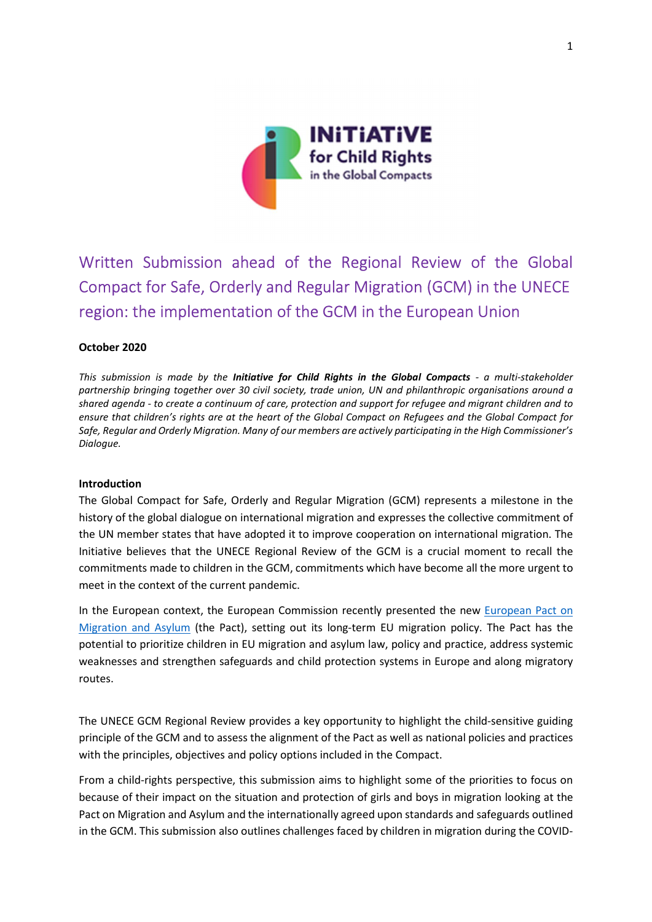

# Written Submission ahead of the Regional Review of the Global Compact for Safe, Orderly and Regular Migration (GCM) in the UNECE region: the implementation of the GCM in the European Union

#### October 2020

This submission is made by the Initiative for Child Rights in the Global Compacts - a multi-stakeholder partnership bringing together over 30 civil society, trade union, UN and philanthropic organisations around a shared agenda - to create a continuum of care, protection and support for refugee and migrant children and to ensure that children's rights are at the heart of the Global Compact on Refugees and the Global Compact for Safe, Regular and Orderly Migration. Many of our members are actively participating in the High Commissioner's Dialogue.

#### Introduction

The Global Compact for Safe, Orderly and Regular Migration (GCM) represents a milestone in the history of the global dialogue on international migration and expresses the collective commitment of the UN member states that have adopted it to improve cooperation on international migration. The Initiative believes that the UNECE Regional Review of the GCM is a crucial moment to recall the commitments made to children in the GCM, commitments which have become all the more urgent to meet in the context of the current pandemic.

In the European context, the European Commission recently presented the new European Pact on Migration and Asylum (the Pact), setting out its long-term EU migration policy. The Pact has the potential to prioritize children in EU migration and asylum law, policy and practice, address systemic weaknesses and strengthen safeguards and child protection systems in Europe and along migratory routes.

The UNECE GCM Regional Review provides a key opportunity to highlight the child-sensitive guiding principle of the GCM and to assess the alignment of the Pact as well as national policies and practices with the principles, objectives and policy options included in the Compact.

From a child-rights perspective, this submission aims to highlight some of the priorities to focus on because of their impact on the situation and protection of girls and boys in migration looking at the Pact on Migration and Asylum and the internationally agreed upon standards and safeguards outlined in the GCM. This submission also outlines challenges faced by children in migration during the COVID-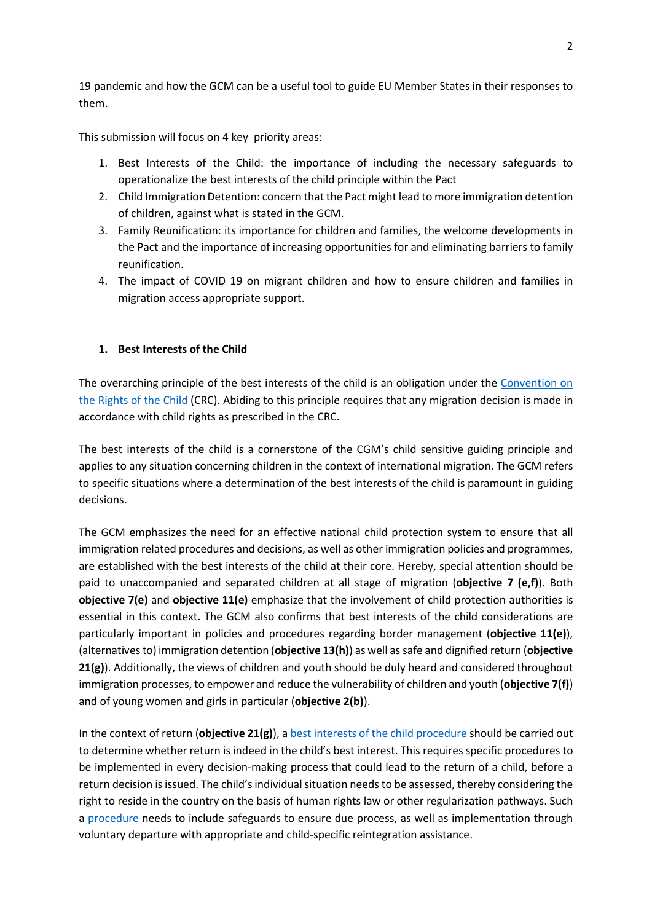19 pandemic and how the GCM can be a useful tool to guide EU Member States in their responses to them.

This submission will focus on 4 key priority areas:

- 1. Best Interests of the Child: the importance of including the necessary safeguards to operationalize the best interests of the child principle within the Pact
- 2. Child Immigration Detention: concern that the Pact might lead to more immigration detention of children, against what is stated in the GCM.
- 3. Family Reunification: its importance for children and families, the welcome developments in the Pact and the importance of increasing opportunities for and eliminating barriers to family reunification.
- 4. The impact of COVID 19 on migrant children and how to ensure children and families in migration access appropriate support.

#### 1. Best Interests of the Child

The overarching principle of the best interests of the child is an obligation under the Convention on the Rights of the Child (CRC). Abiding to this principle requires that any migration decision is made in accordance with child rights as prescribed in the CRC.

The best interests of the child is a cornerstone of the CGM's child sensitive guiding principle and applies to any situation concerning children in the context of international migration. The GCM refers to specific situations where a determination of the best interests of the child is paramount in guiding decisions.

The GCM emphasizes the need for an effective national child protection system to ensure that all immigration related procedures and decisions, as well as other immigration policies and programmes, are established with the best interests of the child at their core. Hereby, special attention should be paid to unaccompanied and separated children at all stage of migration (objective 7 (e,f)). Both objective 7(e) and objective 11(e) emphasize that the involvement of child protection authorities is essential in this context. The GCM also confirms that best interests of the child considerations are particularly important in policies and procedures regarding border management (objective 11(e)), (alternatives to) immigration detention (objective  $13(h)$ ) as well as safe and dignified return (objective  $21(g)$ ). Additionally, the views of children and youth should be duly heard and considered throughout immigration processes, to empower and reduce the vulnerability of children and youth (objective  $7(f)$ ) and of young women and girls in particular (objective 2(b)).

In the context of return (objective  $21(g)$ ), a best interests of the child procedure should be carried out to determine whether return is indeed in the child's best interest. This requires specific procedures to be implemented in every decision-making process that could lead to the return of a child, before a return decision is issued. The child's individual situation needs to be assessed, thereby considering the right to reside in the country on the basis of human rights law or other regularization pathways. Such a procedure needs to include safeguards to ensure due process, as well as implementation through voluntary departure with appropriate and child-specific reintegration assistance.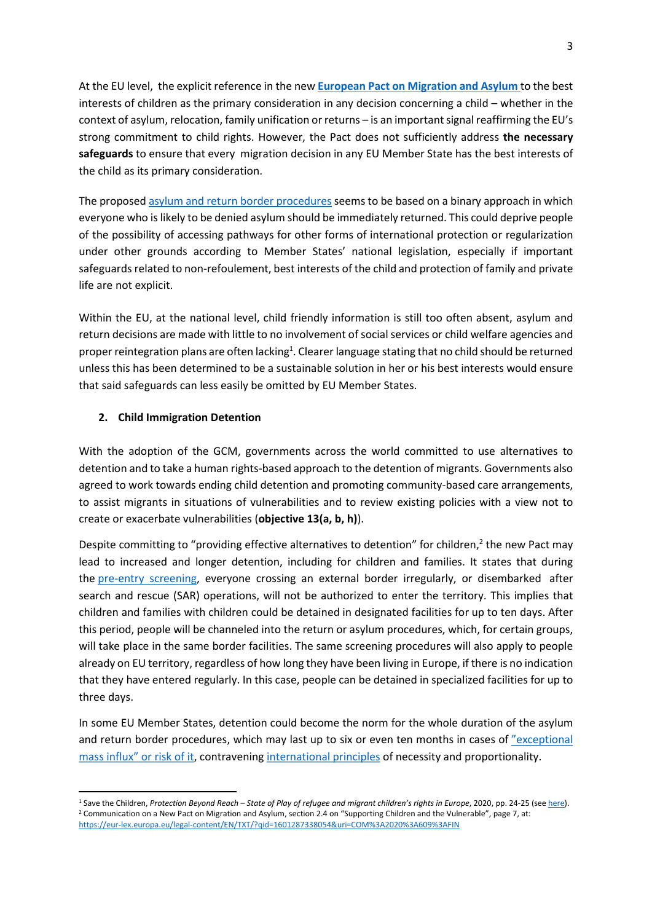At the EU level, the explicit reference in the new European Pact on Migration and Asylum to the best interests of children as the primary consideration in any decision concerning a child – whether in the context of asylum, relocation, family unification or returns – is an important signal reaffirming the EU's strong commitment to child rights. However, the Pact does not sufficiently address the necessary safeguards to ensure that every migration decision in any EU Member State has the best interests of the child as its primary consideration.

The proposed asylum and return border procedures seems to be based on a binary approach in which everyone who is likely to be denied asylum should be immediately returned. This could deprive people of the possibility of accessing pathways for other forms of international protection or regularization under other grounds according to Member States' national legislation, especially if important safeguards related to non-refoulement, best interests of the child and protection of family and private life are not explicit.

Within the EU, at the national level, child friendly information is still too often absent, asylum and return decisions are made with little to no involvement of social services or child welfare agencies and proper reintegration plans are often lacking<sup>1</sup>. Clearer language stating that no child should be returned unless this has been determined to be a sustainable solution in her or his best interests would ensure that said safeguards can less easily be omitted by EU Member States.

# 2. Child Immigration Detention

With the adoption of the GCM, governments across the world committed to use alternatives to detention and to take a human rights-based approach to the detention of migrants. Governments also agreed to work towards ending child detention and promoting community-based care arrangements, to assist migrants in situations of vulnerabilities and to review existing policies with a view not to create or exacerbate vulnerabilities (objective 13(a, b, h)).

Despite committing to "providing effective alternatives to detention" for children,<sup>2</sup> the new Pact may lead to increased and longer detention, including for children and families. It states that during the pre-entry screening, everyone crossing an external border irregularly, or disembarked after search and rescue (SAR) operations, will not be authorized to enter the territory. This implies that children and families with children could be detained in designated facilities for up to ten days. After this period, people will be channeled into the return or asylum procedures, which, for certain groups, will take place in the same border facilities. The same screening procedures will also apply to people already on EU territory, regardless of how long they have been living in Europe, if there is no indication that they have entered regularly. In this case, people can be detained in specialized facilities for up to three days.

In some EU Member States, detention could become the norm for the whole duration of the asylum and return border procedures, which may last up to six or even ten months in cases of "exceptional mass influx" or risk of it, contravening international principles of necessity and proportionality.

<sup>&</sup>lt;sup>1</sup> Save the Children, Protection Beyond Reach – State of Play of refugee and migrant children's rights in Europe, 2020, pp. 24-25 (see <u>here</u>). 2 Communication on a New Pact on Migration and Asylum, section 2.4 on "Supporting Children and the Vulnerable", page 7, at: https://eur-lex.europa.eu/legal-content/EN/TXT/?qid=1601287338054&uri=COM%3A2020%3A609%3AFIN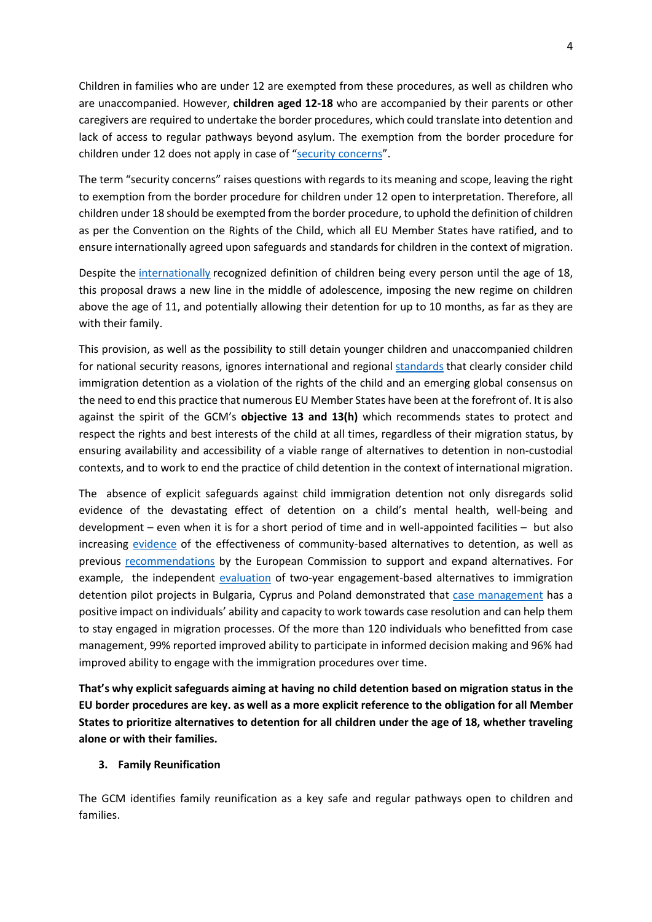Children in families who are under 12 are exempted from these procedures, as well as children who are unaccompanied. However, children aged 12-18 who are accompanied by their parents or other caregivers are required to undertake the border procedures, which could translate into detention and lack of access to regular pathways beyond asylum. The exemption from the border procedure for children under 12 does not apply in case of "security concerns".

The term "security concerns" raises questions with regards to its meaning and scope, leaving the right to exemption from the border procedure for children under 12 open to interpretation. Therefore, all children under 18 should be exempted from the border procedure, to uphold the definition of children as per the Convention on the Rights of the Child, which all EU Member States have ratified, and to ensure internationally agreed upon safeguards and standards for children in the context of migration.

Despite the internationally recognized definition of children being every person until the age of 18, this proposal draws a new line in the middle of adolescence, imposing the new regime on children above the age of 11, and potentially allowing their detention for up to 10 months, as far as they are with their family.

This provision, as well as the possibility to still detain younger children and unaccompanied children for national security reasons, ignores international and regional standards that clearly consider child immigration detention as a violation of the rights of the child and an emerging global consensus on the need to end this practice that numerous EU Member States have been at the forefront of. It is also against the spirit of the GCM's objective 13 and  $13(h)$  which recommends states to protect and respect the rights and best interests of the child at all times, regardless of their migration status, by ensuring availability and accessibility of a viable range of alternatives to detention in non-custodial contexts, and to work to end the practice of child detention in the context of international migration.

The absence of explicit safeguards against child immigration detention not only disregards solid evidence of the devastating effect of detention on a child's mental health, well-being and development – even when it is for a short period of time and in well-appointed facilities – but also increasing evidence of the effectiveness of community-based alternatives to detention, as well as previous recommendations by the European Commission to support and expand alternatives. For example, the independent evaluation of two-year engagement-based alternatives to immigration detention pilot projects in Bulgaria, Cyprus and Poland demonstrated that case management has a positive impact on individuals' ability and capacity to work towards case resolution and can help them to stay engaged in migration processes. Of the more than 120 individuals who benefitted from case management, 99% reported improved ability to participate in informed decision making and 96% had improved ability to engage with the immigration procedures over time.

That's why explicit safeguards aiming at having no child detention based on migration status in the EU border procedures are key. as well as a more explicit reference to the obligation for all Member States to prioritize alternatives to detention for all children under the age of 18, whether traveling alone or with their families.

#### 3. Family Reunification

The GCM identifies family reunification as a key safe and regular pathways open to children and families.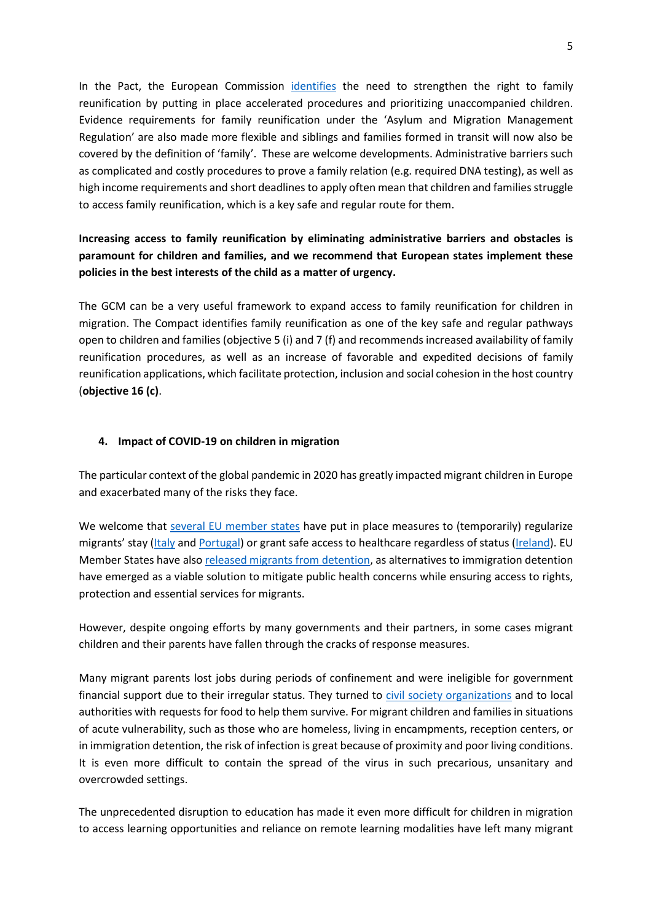In the Pact, the European Commission identifies the need to strengthen the right to family reunification by putting in place accelerated procedures and prioritizing unaccompanied children. Evidence requirements for family reunification under the 'Asylum and Migration Management Regulation' are also made more flexible and siblings and families formed in transit will now also be covered by the definition of 'family'. These are welcome developments. Administrative barriers such as complicated and costly procedures to prove a family relation (e.g. required DNA testing), as well as high income requirements and short deadlines to apply often mean that children and families struggle to access family reunification, which is a key safe and regular route for them.

# Increasing access to family reunification by eliminating administrative barriers and obstacles is paramount for children and families, and we recommend that European states implement these policies in the best interests of the child as a matter of urgency.

The GCM can be a very useful framework to expand access to family reunification for children in migration. The Compact identifies family reunification as one of the key safe and regular pathways open to children and families (objective 5 (i) and 7 (f) and recommends increased availability of family reunification procedures, as well as an increase of favorable and expedited decisions of family reunification applications, which facilitate protection, inclusion and social cohesion in the host country (objective 16 (c).

### 4. Impact of COVID-19 on children in migration

The particular context of the global pandemic in 2020 has greatly impacted migrant children in Europe and exacerbated many of the risks they face.

We welcome that several EU member states have put in place measures to (temporarily) regularize migrants' stay (Italy and Portugal) or grant safe access to healthcare regardless of status (Ireland). EU Member States have also released migrants from detention, as alternatives to immigration detention have emerged as a viable solution to mitigate public health concerns while ensuring access to rights, protection and essential services for migrants.

However, despite ongoing efforts by many governments and their partners, in some cases migrant children and their parents have fallen through the cracks of response measures.

Many migrant parents lost jobs during periods of confinement and were ineligible for government financial support due to their irregular status. They turned to civil society organizations and to local authorities with requests for food to help them survive. For migrant children and families in situations of acute vulnerability, such as those who are homeless, living in encampments, reception centers, or in immigration detention, the risk of infection is great because of proximity and poor living conditions. It is even more difficult to contain the spread of the virus in such precarious, unsanitary and overcrowded settings.

The unprecedented disruption to education has made it even more difficult for children in migration to access learning opportunities and reliance on remote learning modalities have left many migrant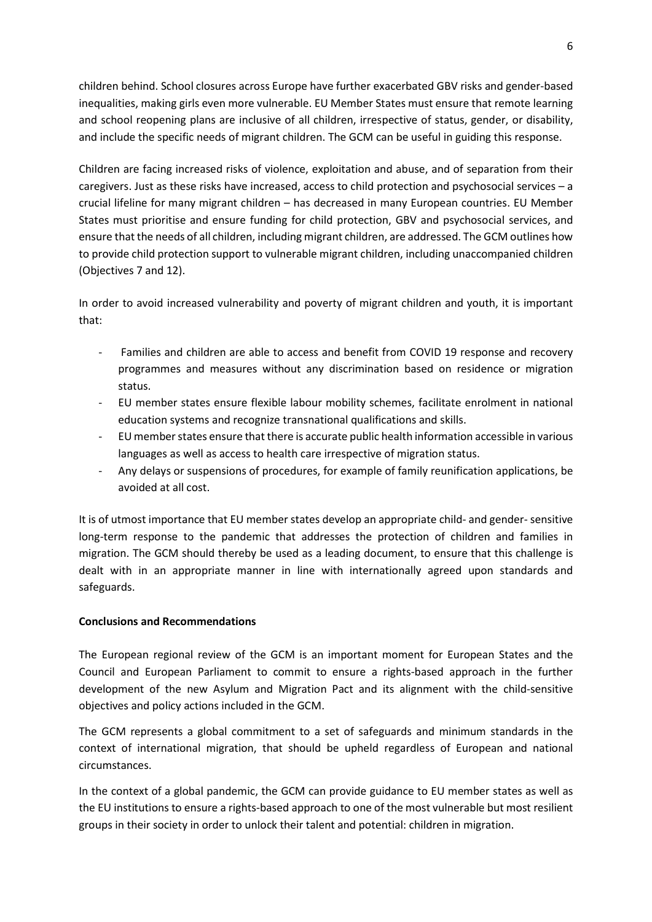children behind. School closures across Europe have further exacerbated GBV risks and gender-based inequalities, making girls even more vulnerable. EU Member States must ensure that remote learning and school reopening plans are inclusive of all children, irrespective of status, gender, or disability, and include the specific needs of migrant children. The GCM can be useful in guiding this response.

Children are facing increased risks of violence, exploitation and abuse, and of separation from their caregivers. Just as these risks have increased, access to child protection and psychosocial services – a crucial lifeline for many migrant children – has decreased in many European countries. EU Member States must prioritise and ensure funding for child protection, GBV and psychosocial services, and ensure that the needs of all children, including migrant children, are addressed. The GCM outlines how to provide child protection support to vulnerable migrant children, including unaccompanied children (Objectives 7 and 12).

In order to avoid increased vulnerability and poverty of migrant children and youth, it is important that:

- Families and children are able to access and benefit from COVID 19 response and recovery programmes and measures without any discrimination based on residence or migration status.
- EU member states ensure flexible labour mobility schemes, facilitate enrolment in national education systems and recognize transnational qualifications and skills.
- EU member states ensure that there is accurate public health information accessible in various languages as well as access to health care irrespective of migration status.
- Any delays or suspensions of procedures, for example of family reunification applications, be avoided at all cost.

It is of utmost importance that EU member states develop an appropriate child- and gender- sensitive long-term response to the pandemic that addresses the protection of children and families in migration. The GCM should thereby be used as a leading document, to ensure that this challenge is dealt with in an appropriate manner in line with internationally agreed upon standards and safeguards.

# Conclusions and Recommendations

The European regional review of the GCM is an important moment for European States and the Council and European Parliament to commit to ensure a rights-based approach in the further development of the new Asylum and Migration Pact and its alignment with the child-sensitive objectives and policy actions included in the GCM.

The GCM represents a global commitment to a set of safeguards and minimum standards in the context of international migration, that should be upheld regardless of European and national circumstances.

In the context of a global pandemic, the GCM can provide guidance to EU member states as well as the EU institutions to ensure a rights-based approach to one of the most vulnerable but most resilient groups in their society in order to unlock their talent and potential: children in migration.